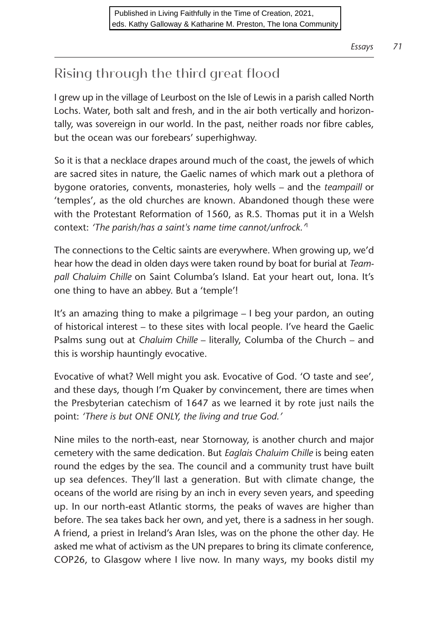## Rising through the third great flood

I grew up in the village of Leurbost on the Isle of Lewis in a parish called North Lochs. Water, both salt and fresh, and in the air both vertically and horizontally, was sovereign in our world. In the past, neither roads nor fibre cables, but the ocean was our forebears' superhighway.

So it is that a necklace drapes around much of the coast, the jewels of which are sacred sites in nature, the Gaelic names of which mark out a plethora of bygone oratories, convents, monasteries, holy wells – and the *teampaill* or 'temples', as the old churches are known. Abandoned though these were with the Protestant Reformation of 1560, as R.S. Thomas put it in a Welsh context: *'The parish/has a saint's name time cannot/unfrock.'*<sup>1</sup>

The connections to the Celtic saints are everywhere. When growing up, we'd hear how the dead in olden days were taken round by boat for burial at *Teampall Chaluim Chille* on Saint Columba's Island. Eat your heart out, Iona. It's one thing to have an abbey. But a 'temple'!

It's an amazing thing to make a pilgrimage – I beg your pardon, an outing of historical interest – to these sites with local people. I've heard the Gaelic Psalms sung out at *Chaluim Chille* – literally, Columba of the Church – and this is worship hauntingly evocative.

Evocative of what? Well might you ask. Evocative of God. 'O taste and see', and these days, though I'm Quaker by convincement, there are times when the Presbyterian catechism of 1647 as we learned it by rote just nails the point: *'There is but ONE ONLY, the living and true God.'* 

Nine miles to the north-east, near Stornoway, is another church and major cemetery with the same dedication. But *Eaglais Chaluim Chille* is being eaten round the edges by the sea. The council and a community trust have built up sea defences. They'll last a generation. But with climate change, the oceans of the world are rising by an inch in every seven years, and speeding up. In our north-east Atlantic storms, the peaks of waves are higher than before. The sea takes back her own, and yet, there is a sadness in her sough. A friend, a priest in Ireland's Aran Isles, was on the phone the other day. He asked me what of activism as the UN prepares to bring its climate conference, COP26, to Glasgow where I live now. In many ways, my books distil my